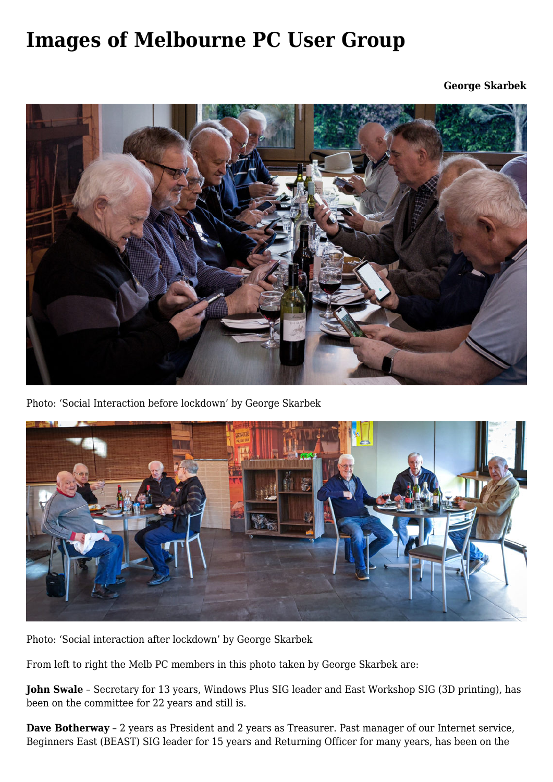## **[Images of Melbourne PC User Group](https://www.melbpc.org.au/images-of-melbourne-pc-user-group/)**

**George Skarbek**



Photo: 'Social Interaction before lockdown' by George Skarbek



Photo: 'Social interaction after lockdown' by George Skarbek

From left to right the Melb PC members in this photo taken by George Skarbek are:

**John Swale** – Secretary for 13 years, Windows Plus SIG leader and East Workshop SIG (3D printing), has been on the committee for 22 years and still is.

**Dave Botherway** – 2 years as President and 2 years as Treasurer. Past manager of our Internet service, Beginners East (BEAST) SIG leader for 15 years and Returning Officer for many years, has been on the